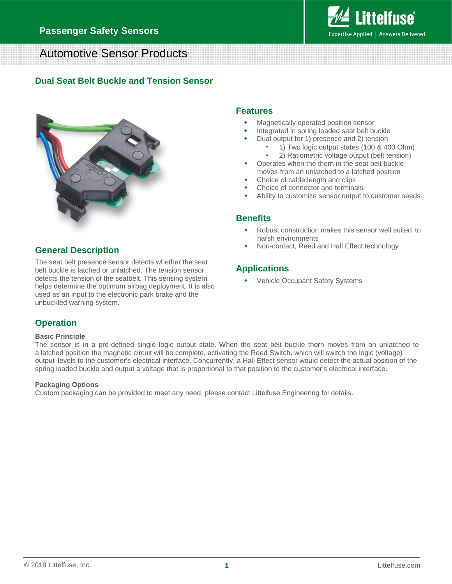

# Automotive Sensor Products

## **Dual Seat Belt Buckle and Tension Sensor**



## **General Description**

The seat belt presence sensor detects whether the seat belt buckle is latched or unlatched. The tension sensor detects the tension of the seatbelt. This sensing system helps determine the optimum airbag deployment. It is also used as an input to the electronic park brake and the unbuckled warning system.

### **Features**

- Magnetically operated position sensor
- Integrated in spring loaded seat belt buckle
- Dual output for 1) presence and 2) tension
	- 1) Two logic output states (100 & 400 Ohm)
	- 2) Ratiometric voltage output (belt tension)
- Operates when the thorn in the seat belt buckle moves from an unlatched to a latched position
- Choice of cable length and clips
- Choice of connector and terminals
- Ability to customize sensor output to customer needs

### **Benefits**

- Robust construction makes this sensor well suited to harsh environments
- Non-contact, Reed and Hall Effect technology

### **Applications**

Vehicle Occupant Safety Systems

# **Operation**

#### **Basic Principle**

The sensor is in a pre-defined single logic output state. When the seat belt buckle thorn moves from an unlatched to a latched position the magnetic circuit will be complete, activating the Reed Switch, which will switch the logic (voltage) output levels to the customer's electrical interface. Concurrently, a Hall Effect sensor would detect the actual position of the spring loaded buckle and output a voltage that is proportional to that position to the customer's electrical interface.

#### **Packaging Options**

Custom packaging can be provided to meet any need, please contact Littelfuse Engineering for details.